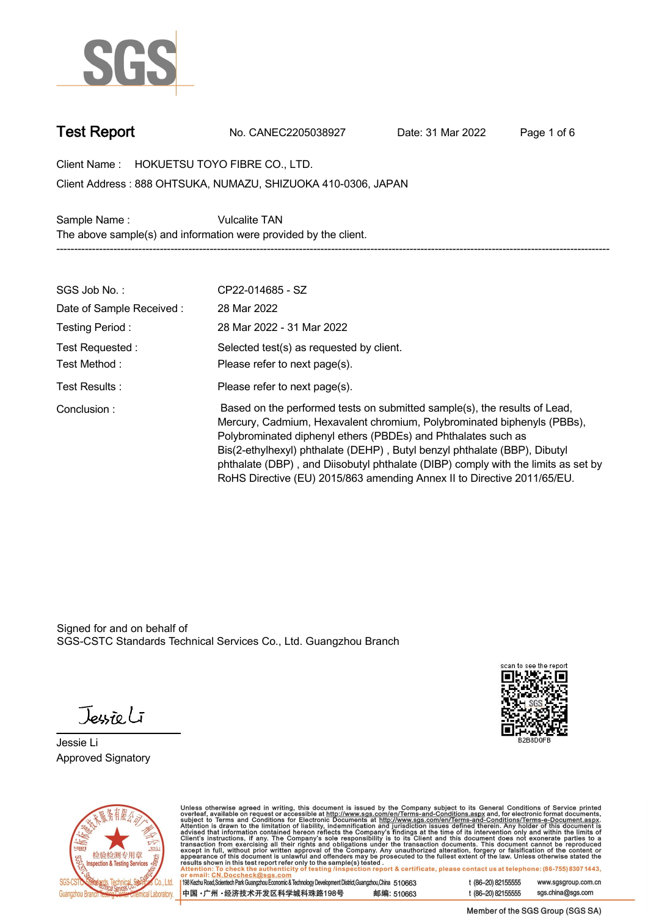

**Test Report. No. CANEC2205038927 . Date: 31 Mar 2022 . Page 1 of 6.**

**Client Name : HOKUETSU TOYO FIBRE CO., LTD. .**

**888 OHTSUKA, NUMAZU, SHIZUOKA 410-0306, JAPAN . Client Address :**

Sample Name : **Vulcalite TAN The above sample(s) and information were provided by the client. -----------------------------------------------------------------------------------------------------------------------------------------------------------**

| SGS Job No.:                    | CP22-014685 - SZ                                                                                                                                                                                                                                                                                                                                                                                                                                                   |
|---------------------------------|--------------------------------------------------------------------------------------------------------------------------------------------------------------------------------------------------------------------------------------------------------------------------------------------------------------------------------------------------------------------------------------------------------------------------------------------------------------------|
| Date of Sample Received:        | 28 Mar 2022                                                                                                                                                                                                                                                                                                                                                                                                                                                        |
| Testing Period:                 | 28 Mar 2022 - 31 Mar 2022                                                                                                                                                                                                                                                                                                                                                                                                                                          |
| Test Requested:<br>Test Method: | Selected test(s) as requested by client.<br>Please refer to next page(s).                                                                                                                                                                                                                                                                                                                                                                                          |
| Test Results:                   | Please refer to next page(s).                                                                                                                                                                                                                                                                                                                                                                                                                                      |
| Conclusion:                     | Based on the performed tests on submitted sample(s), the results of Lead,<br>Mercury, Cadmium, Hexavalent chromium, Polybrominated biphenyls (PBBs),<br>Polybrominated diphenyl ethers (PBDEs) and Phthalates such as<br>Bis(2-ethylhexyl) phthalate (DEHP), Butyl benzyl phthalate (BBP), Dibutyl<br>phthalate (DBP), and Diisobutyl phthalate (DIBP) comply with the limits as set by<br>RoHS Directive (EU) 2015/863 amending Annex II to Directive 2011/65/EU. |

Signed for and on behalf of SGS-CSTC Standards Technical Services Co., Ltd. Guangzhou Branch.

Jessieli

**Jessie Li. Approved Signatory .**





Unless otherwise agreed in writing, this document is issued by the Company subject to its General Conditions of Service printed<br>overleaf, available on request or accessible at http://www.sgs.com/en/Terms-and-Conditions.as

| 198 Kezhu Road,Scientech Park Guangzhou Economic & Technology Development District,Guangzhou,China 510663 |            |
|-----------------------------------------------------------------------------------------------------------|------------|
| 中国 •广州 •经济技术开发区科学城科珠路198号                                                                                 | 邮编: 510663 |

t (86-20) 82155555 www.sgsgroup.com.cn sgs.china@sgs.com t (86-20) 82155555

Member of the SGS Group (SGS SA)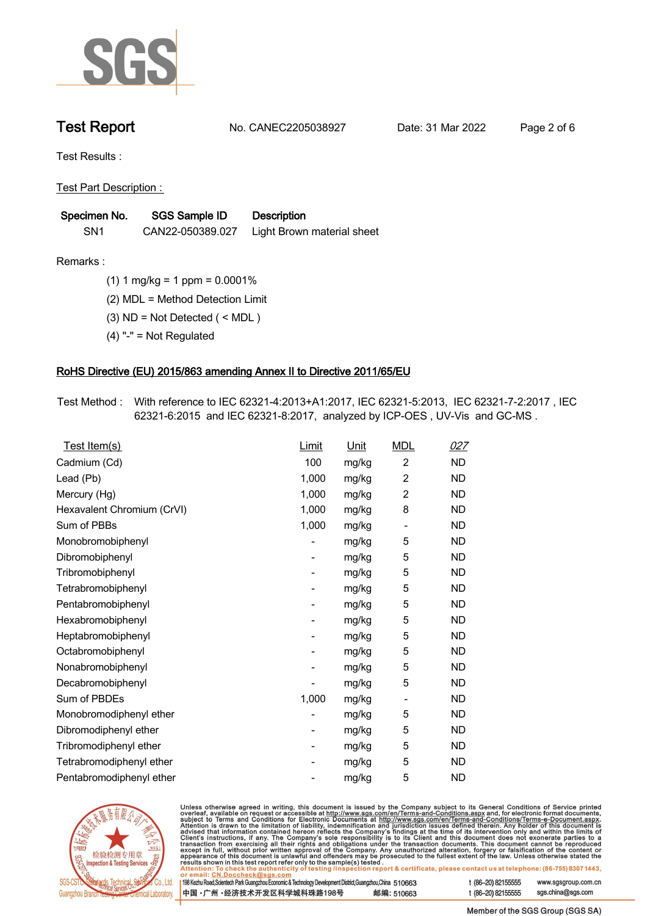

**Test Report. No. CANEC2205038927 . Date: 31 Mar 2022 . Page 2 of 6.**

**Test Results :.**

**Test Part Description : .**

| Specimen No.    | <b>SGS Sample ID</b> | Description                |
|-----------------|----------------------|----------------------------|
| SN <sub>1</sub> | CAN22-050389.027     | Light Brown material sheet |

**Remarks :.(1) 1 mg/kg = 1 ppm = 0.0001% .**

**(2) MDL = Method Detection Limit .**

**(3) ND = Not Detected ( < MDL ) .**

**(4) "-" = Not Regulated .**

## **RoHS Directive (EU) 2015/863 amending Annex II to Directive 2011/65/EU.**

**Test Method :. With reference to IEC 62321-4:2013+A1:2017, IEC 62321-5:2013, IEC 62321-7-2:2017 , IEC 62321-6:2015 and IEC 62321-8:2017, analyzed by ICP-OES , UV-Vis and GC-MS . .**

| Test Item(s)               | Limit                    | <u>Unit</u> | <b>MDL</b>               | <u>027</u> |
|----------------------------|--------------------------|-------------|--------------------------|------------|
| Cadmium (Cd)               | 100                      | mg/kg       | $\overline{2}$           | <b>ND</b>  |
| Lead (Pb)                  | 1,000                    | mg/kg       | $\overline{2}$           | <b>ND</b>  |
| Mercury (Hg)               | 1,000                    | mg/kg       | $\overline{2}$           | <b>ND</b>  |
| Hexavalent Chromium (CrVI) | 1,000                    | mg/kg       | 8                        | <b>ND</b>  |
| Sum of PBBs                | 1,000                    | mg/kg       | $\overline{\phantom{0}}$ | <b>ND</b>  |
| Monobromobiphenyl          |                          | mg/kg       | 5                        | <b>ND</b>  |
| Dibromobiphenyl            | $\overline{\phantom{0}}$ | mg/kg       | 5                        | <b>ND</b>  |
| Tribromobiphenyl           | $\overline{\phantom{a}}$ | mg/kg       | 5                        | <b>ND</b>  |
| Tetrabromobiphenyl         |                          | mg/kg       | 5                        | <b>ND</b>  |
| Pentabromobiphenyl         | -                        | mg/kg       | 5                        | <b>ND</b>  |
| Hexabromobiphenyl          |                          | mg/kg       | 5                        | <b>ND</b>  |
| Heptabromobiphenyl         |                          | mg/kg       | 5                        | <b>ND</b>  |
| Octabromobiphenyl          | -                        | mg/kg       | 5                        | <b>ND</b>  |
| Nonabromobiphenyl          |                          | mg/kg       | 5                        | <b>ND</b>  |
| Decabromobiphenyl          |                          | mg/kg       | 5                        | <b>ND</b>  |
| Sum of PBDEs               | 1,000                    | mg/kg       | $\overline{\phantom{a}}$ | <b>ND</b>  |
| Monobromodiphenyl ether    |                          | mg/kg       | 5                        | <b>ND</b>  |
| Dibromodiphenyl ether      |                          | mg/kg       | 5                        | <b>ND</b>  |
| Tribromodiphenyl ether     | -                        | mg/kg       | 5                        | <b>ND</b>  |
| Tetrabromodiphenyl ether   |                          | mg/kg       | 5                        | <b>ND</b>  |
| Pentabromodiphenyl ether   |                          | mg/kg       | 5                        | <b>ND</b>  |



Unless otherwise agreed in writing, this document is issued by the Company subject to its General Conditions of Service printed overleaf, available on request or accessible at http://www.sgs.com/en/Terms-and-Conditions.as

| or email: CN.Doccheck@sgs.com                                                                                |            |                    |                     |
|--------------------------------------------------------------------------------------------------------------|------------|--------------------|---------------------|
| 198 Kezhu Road, Scientech Park Guangzhou Economic & Technology Development District, Guangzhou, China 510663 |            | t (86-20) 82155555 | www.sgsgroup.com.cl |
| ┃中国 •广州 •经济技术开发区科学城科珠路198号 ↓                                                                                 | 邮编: 510663 | t (86-20) 82155555 | sgs.china@sgs.com   |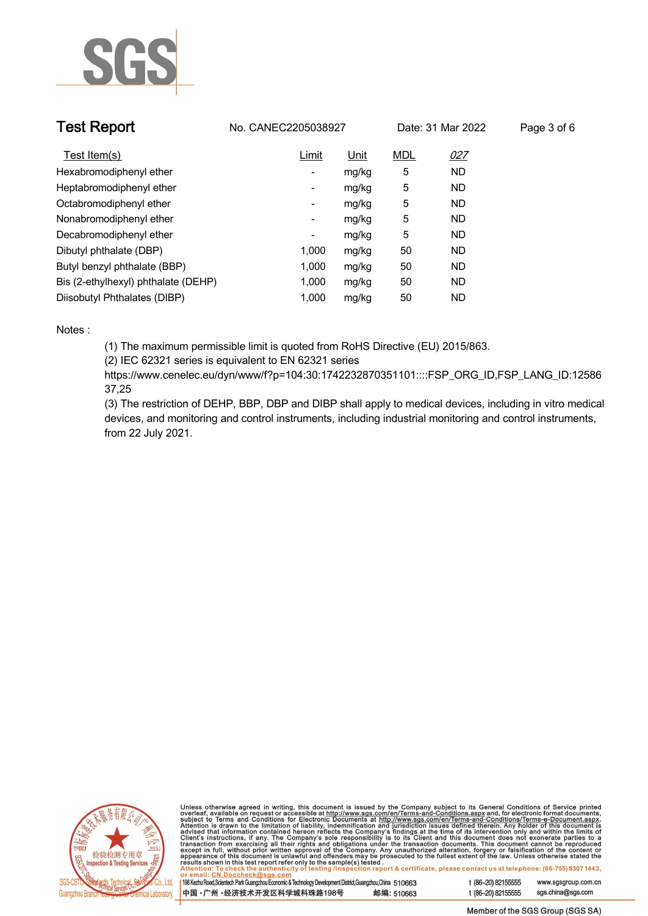

| <b>Test Report</b>                  | No. CANEC2205038927 |             |            | Date: 31 Mar 2022 | Page 3 of 6 |
|-------------------------------------|---------------------|-------------|------------|-------------------|-------------|
| Test Item(s)                        | Limit               | <u>Unit</u> | <b>MDL</b> | 027               |             |
| Hexabromodiphenyl ether             | -                   | mg/kg       | 5          | <b>ND</b>         |             |
| Heptabromodiphenyl ether            | Ξ.                  | mg/kg       | 5          | <b>ND</b>         |             |
| Octabromodiphenyl ether             | ٠                   | mg/kg       | 5          | <b>ND</b>         |             |
| Nonabromodiphenyl ether             | -                   | mg/kg       | 5          | <b>ND</b>         |             |
| Decabromodiphenyl ether             | ۰                   | mg/kg       | 5          | <b>ND</b>         |             |
| Dibutyl phthalate (DBP)             | 1,000               | mg/kg       | 50         | ND                |             |
| Butyl benzyl phthalate (BBP)        | 1.000               | mg/kg       | 50         | <b>ND</b>         |             |
| Bis (2-ethylhexyl) phthalate (DEHP) | 1,000               | mg/kg       | 50         | <b>ND</b>         |             |
| Diisobutyl Phthalates (DIBP)        | 1.000               | mg/kg       | 50         | <b>ND</b>         |             |

### **Notes :.**

**(1) The maximum permissible limit is quoted from RoHS Directive (EU) 2015/863.**

**(2) IEC 62321 series is equivalent to EN 62321 series**

**https://www.cenelec.eu/dyn/www/f?p=104:30:1742232870351101::::FSP\_ORG\_ID,FSP\_LANG\_ID:12586 37,25**

**(3) The restriction of DEHP, BBP, DBP and DIBP shall apply to medical devices, including in vitro medical devices, and monitoring and control instruments, including industrial monitoring and control instruments, from 22 July 2021..**



Unless otherwise agreed in writing, this document is issued by the Company subject to its General Conditions of Service printed<br>overleaf, available on request or accessible at http://www.sgs.com/en/Terms-and-Conditions.as

| 198 Kezhu Road,Scientech Park Guangzhou Economic & Technology Development District,Guangzhou,China 510663 |            |
|-----------------------------------------------------------------------------------------------------------|------------|
| 中国 •广州 •经济技术开发区科学城科珠路198号 »                                                                               | 邮编: 510663 |

www.sgsgroup.com.cn

t (86-20) 82155555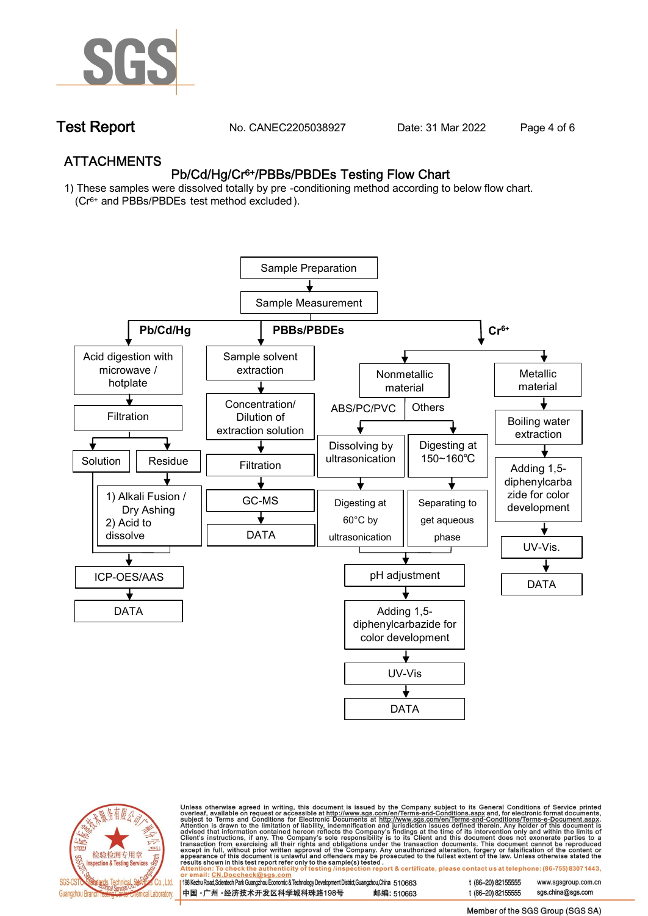

**Test Report. No. CANEC2205038927 . Date: 31 Mar 2022 . Page 4 of 6.**

## **ATTACHMENTS Pb/Cd/Hg/Cr6+/PBBs/PBDEs Testing Flow Chart**

**1) These samples were dissolved totally by pre -conditioning method according to below flow chart. (Cr6+ and PBBs/PBDEs test method excluded ).**





Unless otherwise agreed in writing, this document is issued by the Company subject to its General Conditions of Service printed<br>overleaf, available on request or accessible at <u>http://www.sgs.com/en/Terms-and-Conditions.a</u>

| 198 Kezhu Road,Scientech Park Guangzhou Economic & Technology Development District,Guangzhou,China   510663 |            |
|-------------------------------------------------------------------------------------------------------------|------------|
| 中国 •广州 •经济技术开发区科学城科珠路198号 ;                                                                                 | 邮编: 510663 |

t (86-20) 82155555 t (86-20) 82155555 sas.china@sas.com

www.sgsgroup.com.cn

Member of the SGS Group (SGS SA)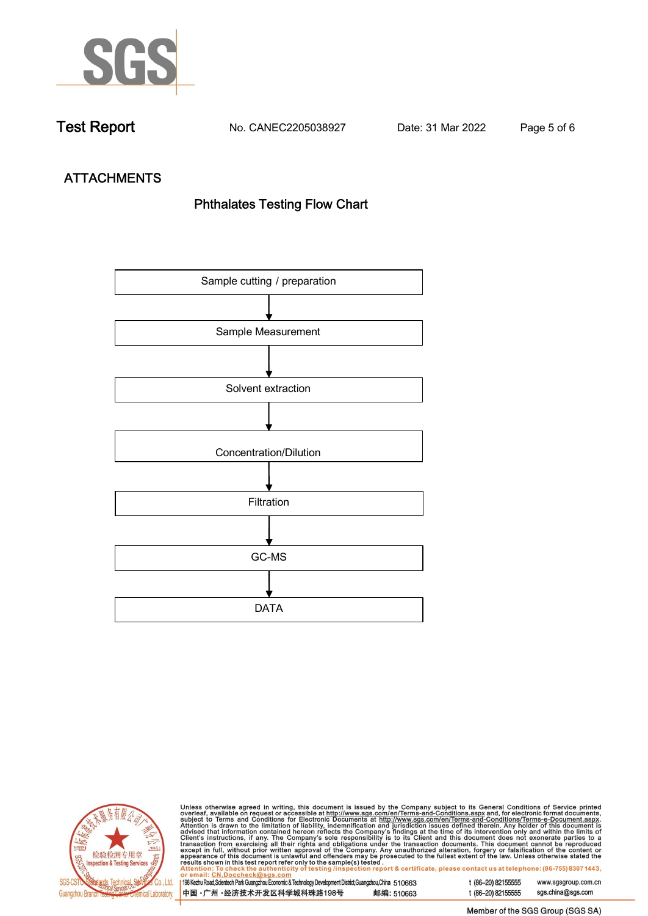

**Test Report. No. CANEC2205038927 . Date: 31 Mar 2022 . Page 5 of 6.**

# **ATTACHMENTS Phthalates Testing Flow Chart**





Unless otherwise agreed in writing, this document is issued by the Company subject to its General Conditions of Service printed overleaf, available on request or accessible at http://www.sgs.com/en/Terms-and-Conditions.as

| or email: CN.Doccheck@sus.com                                                                                |            |  |
|--------------------------------------------------------------------------------------------------------------|------------|--|
|                                                                                                              |            |  |
| 198 Kezhu Road, Scientech Park Guangzhou Economic & Technology Development District, Guangzhou, China 510663 |            |  |
|                                                                                                              |            |  |
| ┃中国 •广州 •经济技术开发区科学城科珠路198号 ↓                                                                                 | 邮编: 510663 |  |
|                                                                                                              |            |  |

t (86-20) 82155555 www.sgsgroup.com.cn t (86-20) 82155555 sgs.china@sgs.com